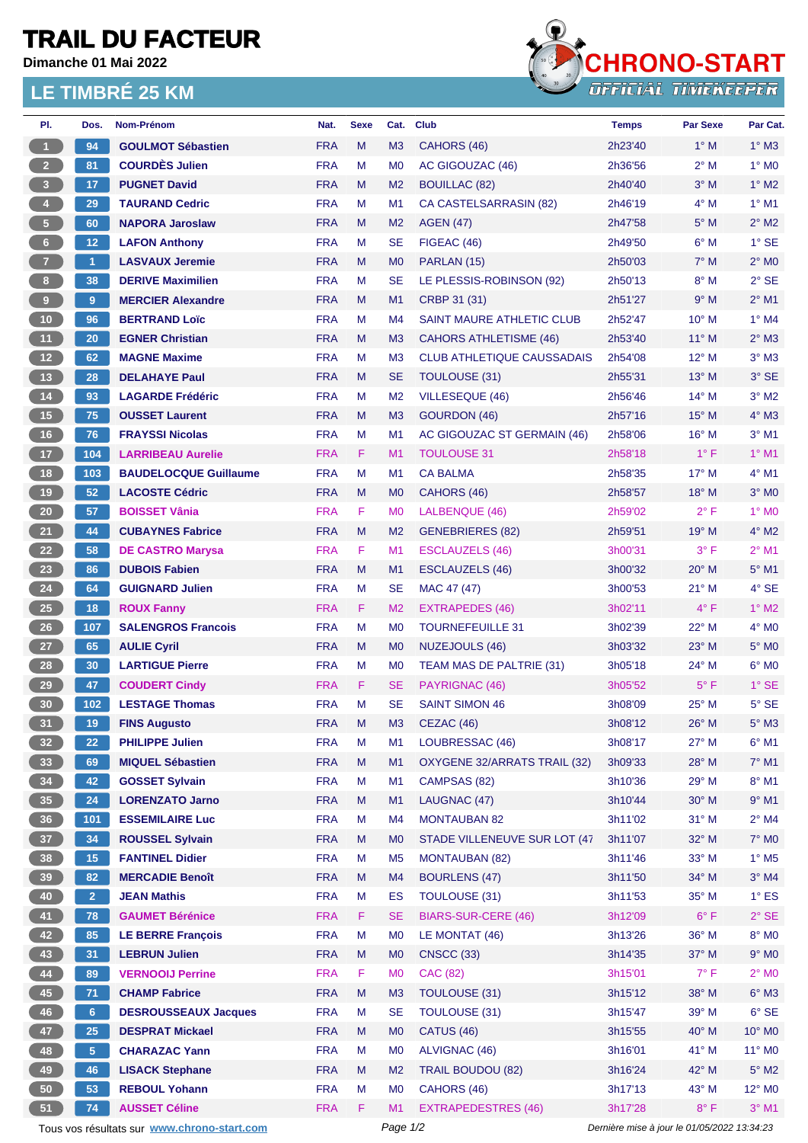## **TRAIL DU FACTEUR**

**Dimanche 01 Mai 2022**

## **LE TIMBRÉ 25 KM**



| PI.                  | Dos.            | Nom-Prénom                                  | Nat.       | <b>Sexe</b> | Cat.           | <b>Club</b>                       | <b>Temps</b>                                | <b>Par Sexe</b> | Par Cat.                 |  |
|----------------------|-----------------|---------------------------------------------|------------|-------------|----------------|-----------------------------------|---------------------------------------------|-----------------|--------------------------|--|
| $\blacktriangleleft$ | 94              | <b>GOULMOT Sébastien</b>                    | <b>FRA</b> | M           | M <sub>3</sub> | CAHORS (46)                       | 2h23'40                                     | $1^\circ$ M     | $1^\circ$ M3             |  |
| 2 <sup>7</sup>       | 81              | <b>COURDÈS Julien</b>                       | <b>FRA</b> | М           | M <sub>0</sub> | AC GIGOUZAC (46)                  | 2h36'56                                     | $2^{\circ}$ M   | $1^\circ$ MO             |  |
| 3 <sup>2</sup>       | 17              | <b>PUGNET David</b>                         | <b>FRA</b> | M           | M <sub>2</sub> | <b>BOUILLAC (82)</b>              | 2h40'40                                     | $3^\circ$ M     | $1^\circ$ M2             |  |
| $\overline{4}$       | 29              | <b>TAURAND Cedric</b>                       | <b>FRA</b> | М           | M1             | <b>CA CASTELSARRASIN (82)</b>     | 2h46'19                                     | $4^\circ$ M     | $1^\circ$ M1             |  |
| 5 <sub>1</sub>       | 60              | <b>NAPORA Jaroslaw</b>                      | <b>FRA</b> | M           | M <sub>2</sub> | <b>AGEN (47)</b>                  | 2h47'58                                     | $5^\circ$ M     | $2^{\circ}$ M2           |  |
| 6 <sup>1</sup>       | 12 <sub>1</sub> | <b>LAFON Anthony</b>                        | <b>FRA</b> | м           | <b>SE</b>      | FIGEAC (46)                       | 2h49'50                                     | $6^\circ$ M     | $1^\circ$ SE             |  |
| $\overline{7}$       | 1               | <b>LASVAUX Jeremie</b>                      | <b>FRA</b> | M           | M <sub>0</sub> | PARLAN (15)                       | 2h50'03                                     | $7^\circ$ M     | $2^{\circ}$ MO           |  |
| 8 <sub>1</sub>       | 38              | <b>DERIVE Maximilien</b>                    | <b>FRA</b> | м           | <b>SE</b>      | LE PLESSIS-ROBINSON (92)          | 2h50'13                                     | $8^\circ$ M     | $2°$ SE                  |  |
| 9                    | 9               | <b>MERCIER Alexandre</b>                    | <b>FRA</b> | M           | M1             | CRBP 31 (31)                      | 2h51'27                                     | 9° M            | $2^{\circ}$ M1           |  |
| 10 <sub>1</sub>      | 96              | <b>BERTRAND Loïc</b>                        | <b>FRA</b> | М           | M4             | SAINT MAURE ATHLETIC CLUB         | 2h52'47                                     | $10^{\circ}$ M  | $1^\circ$ M4             |  |
| 11                   | 20              | <b>EGNER Christian</b>                      | <b>FRA</b> | M           | M <sub>3</sub> | <b>CAHORS ATHLETISME (46)</b>     | 2h53'40                                     | $11^{\circ}$ M  | $2^{\circ}$ M3           |  |
| 12 <sub>2</sub>      | 62              | <b>MAGNE Maxime</b>                         | <b>FRA</b> | М           | M <sub>3</sub> | <b>CLUB ATHLETIQUE CAUSSADAIS</b> | 2h54'08                                     | $12^{\circ}$ M  | $3°$ M $3$               |  |
| 13                   | 28              | <b>DELAHAYE Paul</b>                        | <b>FRA</b> | M           | <b>SE</b>      | TOULOUSE (31)                     | 2h55'31                                     | 13° M           | $3°$ SE                  |  |
| $14$                 | 93              | <b>LAGARDE Frédéric</b>                     | <b>FRA</b> | М           | M <sub>2</sub> | VILLESEQUE (46)                   | 2h56'46                                     | $14^{\circ}$ M  | $3°$ M2                  |  |
| 15                   | 75              | <b>OUSSET Laurent</b>                       | <b>FRA</b> | M           | M <sub>3</sub> | GOURDON (46)                      | 2h57'16                                     | $15^{\circ}$ M  | $4^\circ$ M3             |  |
| 16                   | 76              | <b>FRAYSSI Nicolas</b>                      | <b>FRA</b> | м           | M <sub>1</sub> | AC GIGOUZAC ST GERMAIN (46)       | 2h58'06                                     | $16^{\circ}$ M  | $3°$ M1                  |  |
| 17 <sub>2</sub>      | 104             | <b>LARRIBEAU Aurelie</b>                    | <b>FRA</b> | F.          | M <sub>1</sub> | <b>TOULOUSE 31</b>                | 2h58'18                                     | $1^{\circ}$ F   | $1°$ M1                  |  |
| 18                   | 103             | <b>BAUDELOCQUE Guillaume</b>                | <b>FRA</b> | M           | M <sub>1</sub> | <b>CA BALMA</b>                   | 2h58'35                                     | $17^\circ$ M    | $4^{\circ}$ M1           |  |
| 19                   | 52              | <b>LACOSTE Cédric</b>                       | <b>FRA</b> | M           | M <sub>0</sub> | CAHORS (46)                       | 2h58'57                                     | $18^{\circ}$ M  | $3^\circ$ MO             |  |
| $20\,$               | 57              | <b>BOISSET Vânia</b>                        | <b>FRA</b> | F.          | M <sub>0</sub> | LALBENQUE (46)                    | 2h59'02                                     | $2^{\circ}$ F   | $1^\circ$ MO             |  |
| 21                   | 44              | <b>CUBAYNES Fabrice</b>                     | <b>FRA</b> | M           | M <sub>2</sub> | <b>GENEBRIERES (82)</b>           | 2h59'51                                     | $19^{\circ}$ M  | $4^\circ$ M2             |  |
| 22                   | 58              | <b>DE CASTRO Marysa</b>                     | <b>FRA</b> | F.          | M1             | <b>ESCLAUZELS (46)</b>            | 3h00'31                                     | $3^{\circ}$ F   | $2^{\circ}$ M1           |  |
| 23                   | 86              | <b>DUBOIS Fabien</b>                        | <b>FRA</b> | M           | M1             | <b>ESCLAUZELS (46)</b>            | 3h00'32                                     | $20^\circ$ M    | $5^{\circ}$ M1           |  |
| 24                   | 64              | <b>GUIGNARD Julien</b>                      | <b>FRA</b> | М           | <b>SE</b>      | MAC 47 (47)                       | 3h00'53                                     | $21°$ M         | 4° SE                    |  |
| $25\phantom{.0}$     | 18              | <b>ROUX Fanny</b>                           | <b>FRA</b> | F.          | M <sub>2</sub> | <b>EXTRAPEDES (46)</b>            | 3h02'11                                     | $4^{\circ}$ F   | $1^\circ$ M2             |  |
| 26                   | 107             | <b>SALENGROS Francois</b>                   | <b>FRA</b> | м           | M <sub>0</sub> | <b>TOURNEFEUILLE 31</b>           | 3h02'39                                     | $22^{\circ}$ M  | $4^\circ$ MO             |  |
| 27                   | 65              | <b>AULIE Cyril</b>                          | <b>FRA</b> | M           | M <sub>0</sub> | <b>NUZEJOULS (46)</b>             | 3h03'32                                     | $23^\circ$ M    | $5^\circ$ MO             |  |
| 28                   | 30 <sub>2</sub> | <b>LARTIGUE Pierre</b>                      | <b>FRA</b> | м           | M <sub>0</sub> | TEAM MAS DE PALTRIE (31)          | 3h05'18                                     | $24^{\circ}$ M  | $6^{\circ}$ MO           |  |
| 29                   | 47              | <b>COUDERT Cindy</b>                        | <b>FRA</b> | F.          | <b>SE</b>      | PAYRIGNAC (46)                    | 3h05'52                                     | $5^{\circ}$ F   | $1^\circ$ SE             |  |
| 30                   | 102             | <b>LESTAGE Thomas</b>                       | <b>FRA</b> | M           | <b>SE</b>      | <b>SAINT SIMON 46</b>             | 3h08'09                                     | $25^{\circ}$ M  | $5^\circ$ SE             |  |
| 31                   | 19              |                                             | <b>FRA</b> | M           | M <sub>3</sub> |                                   | 3h08'12                                     | $26^{\circ}$ M  | $5^\circ$ M3             |  |
|                      |                 | <b>FINS Augusto</b>                         |            |             |                | CEZAC (46)                        |                                             |                 |                          |  |
| 32 <sub>2</sub>      | 22              | <b>PHILIPPE Julien</b>                      | <b>FRA</b> | M           | M1             | LOUBRESSAC (46)                   | 3h08'17                                     | 27° M           | $6^\circ$ M1             |  |
| 33                   | 69              | <b>MIQUEL Sébastien</b>                     | <b>FRA</b> | M           | M1             | OXYGENE 32/ARRATS TRAIL (32)      | 3h09'33                                     | 28° M           | $7^\circ$ M1             |  |
| 34                   | 42              | <b>GOSSET Sylvain</b>                       | <b>FRA</b> | M           | M <sub>1</sub> | CAMPSAS (82)                      | 3h10'36                                     | 29° M           | $8^\circ$ M1             |  |
| 35 <sub>1</sub>      | 24              | <b>LORENZATO Jarno</b>                      | <b>FRA</b> | M           | M1             | LAUGNAC (47)                      | 3h10'44                                     | 30° M           | $9°$ M1                  |  |
| 36 <sup>°</sup>      | 101             | <b>ESSEMILAIRE Luc</b>                      | <b>FRA</b> | М           | M4             | <b>MONTAUBAN 82</b>               | 3h11'02                                     | $31^\circ$ M    | $2^{\circ}$ M4           |  |
| 37                   | 34              | <b>ROUSSEL Sylvain</b>                      | <b>FRA</b> | M           | M <sub>0</sub> | STADE VILLENEUVE SUR LOT (47      | 3h11'07                                     | $32^\circ$ M    | 7° M0                    |  |
| 38                   | 15              | <b>FANTINEL Didier</b>                      | <b>FRA</b> | M           | M <sub>5</sub> | <b>MONTAUBAN (82)</b>             | 3h11'46                                     | 33° M           | $1^\circ$ M <sub>5</sub> |  |
| 39 <sup>°</sup>      | 82              | <b>MERCADIE Benoît</b>                      | <b>FRA</b> | M           | M4             | <b>BOURLENS (47)</b>              | 3h11'50                                     | 34° M           | $3^\circ$ M4             |  |
| 40                   | 2 <sub>1</sub>  | <b>JEAN Mathis</b>                          | <b>FRA</b> | M           | <b>ES</b>      | TOULOUSE (31)                     | 3h11'53                                     | 35° M           | $1^\circ$ ES             |  |
| 41                   | 78              | <b>GAUMET Bérénice</b>                      | <b>FRA</b> | F.          | <b>SE</b>      | <b>BIARS-SUR-CERE (46)</b>        | 3h12'09                                     | $6^{\circ}$ F   | $2^{\circ}$ SE           |  |
| 42                   | 85              | <b>LE BERRE François</b>                    | <b>FRA</b> | M           | M <sub>0</sub> | LE MONTAT (46)                    | 3h13'26                                     | 36° M           | $8^\circ$ MO             |  |
| 43                   | 31              | <b>LEBRUN Julien</b>                        | <b>FRA</b> | M           | M <sub>0</sub> | <b>CNSCC (33)</b>                 | 3h14'35                                     | 37° M           | $9°$ MO                  |  |
| 44                   | 89              | <b>VERNOOIJ Perrine</b>                     | <b>FRA</b> | F           | M <sub>0</sub> | CAC (82)                          | 3h15'01                                     | $7^{\circ}$ F   | $2^{\circ}$ MO           |  |
| 45                   | $71$            | <b>CHAMP Fabrice</b>                        | <b>FRA</b> | M           | M3             | TOULOUSE (31)                     | 3h15'12                                     | 38° M           | $6^\circ$ M3             |  |
| 46                   | 6 <sup>1</sup>  | <b>DESROUSSEAUX Jacques</b>                 | <b>FRA</b> | M           | <b>SE</b>      | TOULOUSE (31)                     | 3h15'47                                     | 39° M           | $6°$ SE                  |  |
| 47                   | 25              | <b>DESPRAT Mickael</b>                      | <b>FRA</b> | M           | M <sub>0</sub> | <b>CATUS (46)</b>                 | 3h15'55                                     | 40° M           | 10° MO                   |  |
| 48                   | 5 <sub>5</sub>  | <b>CHARAZAC Yann</b>                        | <b>FRA</b> | М           | M <sub>0</sub> | ALVIGNAC (46)                     | 3h16'01                                     | 41° M           | 11° MO                   |  |
| 49                   | 46              | <b>LISACK Stephane</b>                      | <b>FRA</b> | M           | M <sub>2</sub> | <b>TRAIL BOUDOU (82)</b>          | 3h16'24                                     | 42° M           | $5^\circ$ M2             |  |
| 50                   | 53              | <b>REBOUL Yohann</b>                        | <b>FRA</b> | М           | M <sub>0</sub> | CAHORS (46)                       | 3h17'13                                     | $43^\circ$ M    | 12° MO                   |  |
| 51                   | 74              | <b>AUSSET Céline</b>                        | <b>FRA</b> | F.          | M1             | <b>EXTRAPEDESTRES (46)</b>        | 3h17'28                                     | $8^{\circ}$ F   | $3°$ M1                  |  |
|                      |                 | Tous vos résultats sur www.chrono-start.com | Page 1/2   |             |                |                                   | Dernière mise à jour le 01/05/2022 13:34:23 |                 |                          |  |